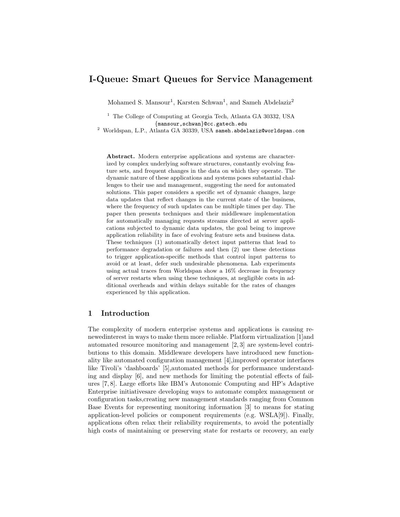# I-Queue: Smart Queues for Service Management

Mohamed S. Mansour<sup>1</sup>, Karsten Schwan<sup>1</sup>, and Sameh Abdelaziz<sup>2</sup>

<sup>1</sup> The College of Computing at Georgia Tech, Atlanta GA 30332, USA {mansour,schwan}@cc.gatech.edu

<sup>2</sup> Worldspan, L.P., Atlanta GA 30339, USA sameh.abdelaziz@worldspan.com

Abstract. Modern enterprise applications and systems are characterized by complex underlying software structures, constantly evolving feature sets, and frequent changes in the data on which they operate. The dynamic nature of these applications and systems poses substantial challenges to their use and management, suggesting the need for automated solutions. This paper considers a specific set of dynamic changes, large data updates that reflect changes in the current state of the business, where the frequency of such updates can be multiple times per day. The paper then presents techniques and their middleware implementation for automatically managing requests streams directed at server applications subjected to dynamic data updates, the goal being to improve application reliability in face of evolving feature sets and business data. These techniques (1) automatically detect input patterns that lead to performance degradation or failures and then (2) use these detections to trigger application-specific methods that control input patterns to avoid or at least, defer such undesirable phenomena. Lab experiments using actual traces from Worldspan show a 16% decrease in frequency of server restarts when using these techniques, at negligible costs in additional overheads and within delays suitable for the rates of changes experienced by this application.

## 1 Introduction

The complexity of modern enterprise systems and applications is causing renewedinterest in ways to make them more reliable. Platform virtualization [1]and automated resource monitoring and management [2, 3] are system-level contributions to this domain. Middleware developers have introduced new functionality like automated configuration management [4],improved operator interfaces like Tivoli's 'dashboards' [5],automated methods for performance understanding and display [6], and new methods for limiting the potential effects of failures [7, 8]. Large efforts like IBM's Autonomic Computing and HP's Adaptive Enterprise initiativesare developing ways to automate complex management or configuration tasks,creating new management standards ranging from Common Base Events for representing monitoring information [3] to means for stating application-level policies or component requirements (e.g. WSLA[9]). Finally, applications often relax their reliability requirements, to avoid the potentially high costs of maintaining or preserving state for restarts or recovery, an early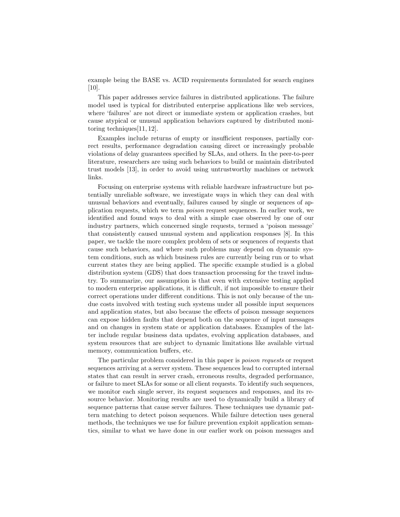example being the BASE vs. ACID requirements formulated for search engines [10].

This paper addresses service failures in distributed applications. The failure model used is typical for distributed enterprise applications like web services, where 'failures' are not direct or immediate system or application crashes, but cause atypical or unusual application behaviors captured by distributed monitoring techniques[11, 12].

Examples include returns of empty or insufficient responses, partially correct results, performance degradation causing direct or increasingly probable violations of delay guarantees specified by SLAs, and others. In the peer-to-peer literature, researchers are using such behaviors to build or maintain distributed trust models [13], in order to avoid using untrustworthy machines or network links.

Focusing on enterprise systems with reliable hardware infrastructure but potentially unreliable software, we investigate ways in which they can deal with unusual behaviors and eventually, failures caused by single or sequences of application requests, which we term poison request sequences. In earlier work, we identified and found ways to deal with a simple case observed by one of our industry partners, which concerned single requests, termed a 'poison message' that consistently caused unusual system and application responses [8]. In this paper, we tackle the more complex problem of sets or sequences of requests that cause such behaviors, and where such problems may depend on dynamic system conditions, such as which business rules are currently being run or to what current states they are being applied. The specific example studied is a global distribution system (GDS) that does transaction processing for the travel industry. To summarize, our assumption is that even with extensive testing applied to modern enterprise applications, it is difficult, if not impossible to ensure their correct operations under different conditions. This is not only because of the undue costs involved with testing such systems under all possible input sequences and application states, but also because the effects of poison message sequences can expose hidden faults that depend both on the sequence of input messages and on changes in system state or application databases. Examples of the latter include regular business data updates, evolving application databases, and system resources that are subject to dynamic limitations like available virtual memory, communication buffers, etc.

The particular problem considered in this paper is *poison requests* or request sequences arriving at a server system. These sequences lead to corrupted internal states that can result in server crash, erroneous results, degraded performance, or failure to meet SLAs for some or all client requests. To identify such sequences, we monitor each single server, its request sequences and responses, and its resource behavior. Monitoring results are used to dynamically build a library of sequence patterns that cause server failures. These techniques use dynamic pattern matching to detect poison sequences. While failure detection uses general methods, the techniques we use for failure prevention exploit application semantics, similar to what we have done in our earlier work on poison messages and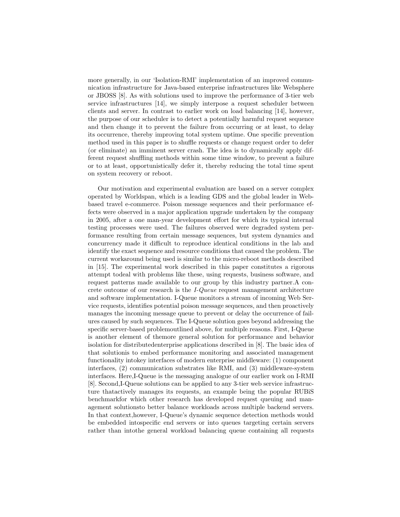more generally, in our 'Isolation-RMI' implementation of an improved communication infrastructure for Java-based enterprise infrastructures like Websphere or JBOSS [8]. As with solutions used to improve the performance of 3-tier web service infrastructures [14], we simply interpose a request scheduler between clients and server. In contrast to earlier work on load balancing [14], however, the purpose of our scheduler is to detect a potentially harmful request sequence and then change it to prevent the failure from occurring or at least, to delay its occurrence, thereby improving total system uptime. One specific prevention method used in this paper is to shuffle requests or change request order to defer (or eliminate) an imminent server crash. The idea is to dynamically apply different request shuffling methods within some time window, to prevent a failure or to at least, opportunistically defer it, thereby reducing the total time spent on system recovery or reboot.

Our motivation and experimental evaluation are based on a server complex operated by Worldspan, which is a leading GDS and the global leader in Webbased travel e-commerce. Poison message sequences and their performance effects were observed in a major application upgrade undertaken by the company in 2005, after a one man-year development effort for which its typical internal testing processes were used. The failures observed were degraded system performance resulting from certain message sequences, but system dynamics and concurrency made it difficult to reproduce identical conditions in the lab and identify the exact sequence and resource conditions that caused the problem. The current workaround being used is similar to the micro-reboot methods described in [15]. The experimental work described in this paper constitutes a rigorous attempt todeal with problems like these, using requests, business software, and request patterns made available to our group by this industry partner.A concrete outcome of our research is the I-Queue request management architecture and software implementation. I-Queue monitors a stream of incoming Web Service requests, identifies potential poison message sequences, and then proactively manages the incoming message queue to prevent or delay the occurrence of failures caused by such sequences. The I-Queue solution goes beyond addressing the specific server-based problemoutlined above, for multiple reasons. First, I-Queue is another element of themore general solution for performance and behavior isolation for distributedenterprise applications described in [8]. The basic idea of that solutionis to embed performance monitoring and associated management functionality intokey interfaces of modern enterprise middleware: (1) component interfaces, (2) communication substrates like RMI, and (3) middleware-system interfaces. Here,I-Queue is the messaging analogue of our earlier work on I-RMI [8]. Second,I-Queue solutions can be applied to any 3-tier web service infrastructure thatactively manages its requests, an example being the popular RUBiS benchmarkfor which other research has developed request queuing and management solutionsto better balance workloads across multiple backend servers. In that context,however, I-Queue's dynamic sequence detection methods would be embedded intospecific end servers or into queues targeting certain servers rather than intothe general workload balancing queue containing all requests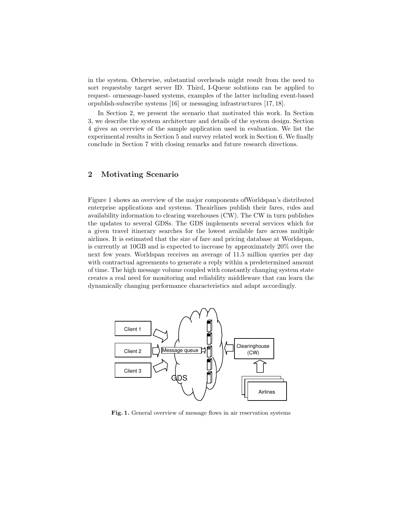in the system. Otherwise, substantial overheads might result from the need to sort requestsby target server ID. Third, I-Queue solutions can be applied to request- ormessage-based systems, examples of the latter including event-based orpublish-subscribe systems [16] or messaging infrastructures [17, 18].

In Section 2, we present the scenario that motivated this work. In Section 3, we describe the system architecture and details of the system design. Section 4 gives an overview of the sample application used in evaluation. We list the experimental results in Section 5 and survey related work in Section 6. We finally conclude in Section 7 with closing remarks and future research directions.

## 2 Motivating Scenario

Figure 1 shows an overview of the major components ofWorldspan's distributed enterprise applications and systems. Theairlines publish their fares, rules and availability information to clearing warehouses (CW). The CW in turn publishes the updates to several GDSs. The GDS implements several services which for a given travel itinerary searches for the lowest available fare across multiple airlines. It is estimated that the size of fare and pricing database at Worldspan, is currently at 10GB and is expected to increase by approximately 20% over the next few years. Worldspan receives an average of 11.5 million queries per day with contractual agreements to generate a reply within a predetermined amount of time. The high message volume coupled with constantly changing system state creates a real need for monitoring and reliability middleware that can learn the dynamically changing performance characteristics and adapt accordingly.



Fig. 1. General overview of message flows in air reservation systems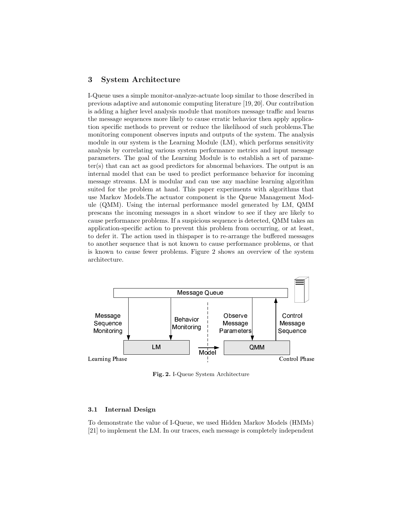## 3 System Architecture

I-Queue uses a simple monitor-analyze-actuate loop similar to those described in previous adaptive and autonomic computing literature [19, 20]. Our contribution is adding a higher level analysis module that monitors message traffic and learns the message sequences more likely to cause erratic behavior then apply application specific methods to prevent or reduce the likelihood of such problems.The monitoring component observes inputs and outputs of the system. The analysis module in our system is the Learning Module (LM), which performs sensitivity analysis by correlating various system performance metrics and input message parameters. The goal of the Learning Module is to establish a set of parameter(s) that can act as good predictors for abnormal behaviors. The output is an internal model that can be used to predict performance behavior for incoming message streams. LM is modular and can use any machine learning algorithm suited for the problem at hand. This paper experiments with algorithms that use Markov Models.The actuator component is the Queue Management Module (QMM). Using the internal performance model generated by LM, QMM prescans the incoming messages in a short window to see if they are likely to cause performance problems. If a suspicious sequence is detected, QMM takes an application-specific action to prevent this problem from occurring, or at least, to defer it. The action used in thispaper is to re-arrange the buffered messages to another sequence that is not known to cause performance problems, or that is known to cause fewer problems. Figure 2 shows an overview of the system architecture.



Fig. 2. I-Queue System Architecture

#### 3.1 Internal Design

To demonstrate the value of I-Queue, we used Hidden Markov Models (HMMs) [21] to implement the LM. In our traces, each message is completely independent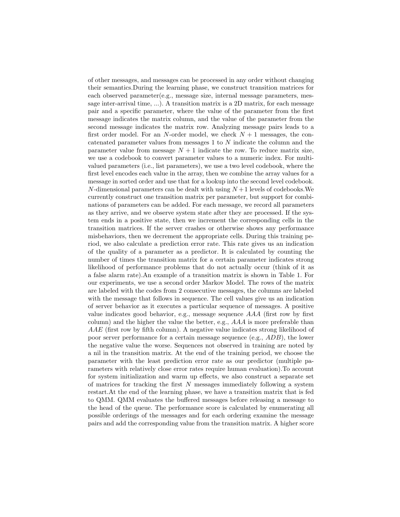of other messages, and messages can be processed in any order without changing their semantics.During the learning phase, we construct transition matrices for each observed parameter(e.g., message size, internal message parameters, message inter-arrival time, ...). A transition matrix is a 2D matrix, for each message pair and a specific parameter, where the value of the parameter from the first message indicates the matrix column, and the value of the parameter from the second message indicates the matrix row. Analyzing message pairs leads to a first order model. For an N-order model, we check  $N+1$  messages, the concatenated parameter values from messages 1 to N indicate the column and the parameter value from message  $N + 1$  indicate the row. To reduce matrix size, we use a codebook to convert parameter values to a numeric index. For multivalued parameters (i.e., list parameters), we use a two level codebook, where the first level encodes each value in the array, then we combine the array values for a message in sorted order and use that for a lookup into the second level codebook.  $N$ -dimensional parameters can be dealt with using  $N+1$  levels of codebooks. We currently construct one transition matrix per parameter, but support for combinations of parameters can be added. For each message, we record all parameters as they arrive, and we observe system state after they are processed. If the system ends in a positive state, then we increment the corresponding cells in the transition matrices. If the server crashes or otherwise shows any performance misbehaviors, then we decrement the appropriate cells. During this training period, we also calculate a prediction error rate. This rate gives us an indication of the quality of a parameter as a predictor. It is calculated by counting the number of times the transition matrix for a certain parameter indicates strong likelihood of performance problems that do not actually occur (think of it as a false alarm rate).An example of a transition matrix is shown in Table 1. For our experiments, we use a second order Markov Model. The rows of the matrix are labeled with the codes from 2 consecutive messages, the columns are labeled with the message that follows in sequence. The cell values give us an indication of server behavior as it executes a particular sequence of messages. A positive value indicates good behavior, e.g., message sequence AAA (first row by first column) and the higher the value the better, e.g.,  $AAA$  is more preferable than AAE (first row by fifth column). A negative value indicates strong likelihood of poor server performance for a certain message sequence (e.g., ADB), the lower the negative value the worse. Sequences not observed in training are noted by a nil in the transition matrix. At the end of the training period, we choose the parameter with the least prediction error rate as our predictor (multiple parameters with relatively close error rates require human evaluation).To account for system initialization and warm up effects, we also construct a separate set of matrices for tracking the first  $N$  messages immediately following a system restart.At the end of the learning phase, we have a transition matrix that is fed to QMM. QMM evaluates the buffered messages before releasing a message to the head of the queue. The performance score is calculated by enumerating all possible orderings of the messages and for each ordering examine the message pairs and add the corresponding value from the transition matrix. A higher score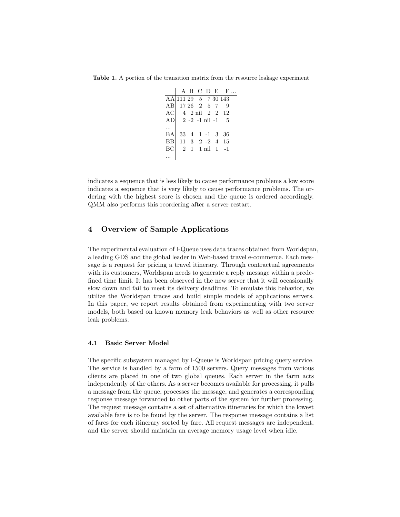Table 1. A portion of the transition matrix from the resource leakage experiment

|     |                                   |  |  | A B C D E F    |  |
|-----|-----------------------------------|--|--|----------------|--|
|     | $\overline{AA}$ 111 29 5 7 30 143 |  |  |                |  |
| AΒ  | 17 26 2 5 7                       |  |  | 9              |  |
|     | AC   4 2 nil 2 2 12               |  |  |                |  |
|     | AD  2-2-1 nil -1 5                |  |  |                |  |
|     |                                   |  |  |                |  |
| ВA  |                                   |  |  | 33 4 1 -1 3 36 |  |
| BB. |                                   |  |  | 11 3 2 -2 4 15 |  |
| 3C  |                                   |  |  | 2 1 1 nil 1 -1 |  |
|     |                                   |  |  |                |  |

indicates a sequence that is less likely to cause performance problems a low score indicates a sequence that is very likely to cause performance problems. The ordering with the highest score is chosen and the queue is ordered accordingly. QMM also performs this reordering after a server restart.

## 4 Overview of Sample Applications

The experimental evaluation of I-Queue uses data traces obtained from Worldspan, a leading GDS and the global leader in Web-based travel e-commerce. Each message is a request for pricing a travel itinerary. Through contractual agreements with its customers, Worldspan needs to generate a reply message within a predefined time limit. It has been observed in the new server that it will occasionally slow down and fail to meet its delivery deadlines. To emulate this behavior, we utilize the Worldspan traces and build simple models of applications servers. In this paper, we report results obtained from experimenting with two server models, both based on known memory leak behaviors as well as other resource leak problems.

#### 4.1 Basic Server Model

The specific subsystem managed by I-Queue is Worldspan pricing query service. The service is handled by a farm of 1500 servers. Query messages from various clients are placed in one of two global queues. Each server in the farm acts independently of the others. As a server becomes available for processing, it pulls a message from the queue, processes the message, and generates a corresponding response message forwarded to other parts of the system for further processing. The request message contains a set of alternative itineraries for which the lowest available fare is to be found by the server. The response message contains a list of fares for each itinerary sorted by fare. All request messages are independent, and the server should maintain an average memory usage level when idle.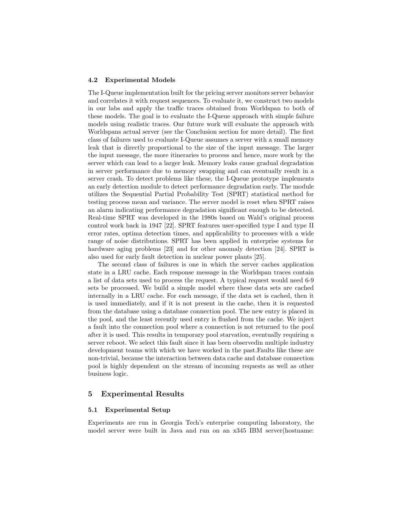#### 4.2 Experimental Models

The I-Queue implementation built for the pricing server monitors server behavior and correlates it with request sequences. To evaluate it, we construct two models in our labs and apply the traffic traces obtained from Worldspan to both of these models. The goal is to evaluate the I-Queue approach with simple failure models using realistic traces. Our future work will evaluate the approach with Worldspans actual server (see the Conclusion section for more detail). The first class of failures used to evaluate I-Queue assumes a server with a small memory leak that is directly proportional to the size of the input message. The larger the input message, the more itineraries to process and hence, more work by the server which can lead to a larger leak. Memory leaks cause gradual degradation in server performance due to memory swapping and can eventually result in a server crash. To detect problems like these, the I-Queue prototype implements an early detection module to detect performance degradation early. The module utilizes the Sequential Partial Probability Test (SPRT) statistical method for testing process mean and variance. The server model is reset when SPRT raises an alarm indicating performance degradation significant enough to be detected. Real-time SPRT was developed in the 1980s based on Wald's original process control work back in 1947 [22]. SPRT features user-specified type I and type II error rates, optima detection times, and applicability to processes with a wide range of noise distributions. SPRT has been applied in enterprise systems for hardware aging problems [23] and for other anomaly detection [24]. SPRT is also used for early fault detection in nuclear power plants [25].

The second class of failures is one in which the server caches application state in a LRU cache. Each response message in the Worldspan traces contain a list of data sets used to process the request. A typical request would need 6-9 sets be processed. We build a simple model where these data sets are cached internally in a LRU cache. For each message, if the data set is cached, then it is used immediately, and if it is not present in the cache, then it is requested from the database using a database connection pool. The new entry is placed in the pool, and the least recently used entry is flushed from the cache. We inject a fault into the connection pool where a connection is not returned to the pool after it is used. This results in temporary pool starvation, eventually requiring a server reboot. We select this fault since it has been observedin multiple industry development teams with which we have worked in the past.Faults like these are non-trivial, because the interaction between data cache and database connection pool is highly dependent on the stream of incoming requests as well as other business logic.

### 5 Experimental Results

#### 5.1 Experimental Setup

Experiments are run in Georgia Tech's enterprise computing laboratory, the model server were built in Java and run on an x345 IBM server(hostname: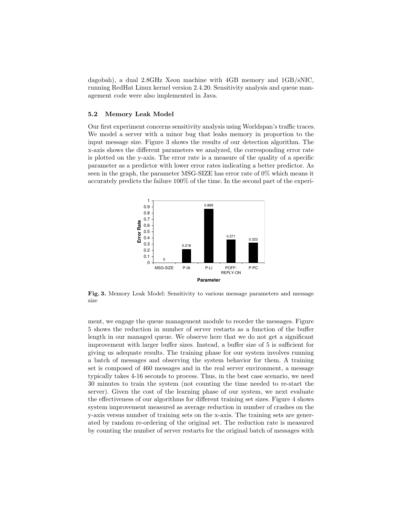dagobah), a dual 2.8GHz Xeon machine with 4GB memory and 1GB/sNIC, running RedHat Linux kernel version 2.4.20. Sensitivity analysis and queue management code were also implemented in Java.

#### 5.2 Memory Leak Model

Our first experiment concerns sensitivity analysis using Worldspan's traffic traces. We model a server with a minor bug that leaks memory in proportion to the input message size. Figure 3 shows the results of our detection algorithm. The x-axis shows the different parameters we analyzed, the corresponding error rate is plotted on the y-axis. The error rate is a measure of the quality of a specific parameter as a predictor with lower error rates indicating a better predictor. As seen in the graph, the parameter MSG-SIZE has error rate of 0% which means it accurately predicts the failure 100% of the time. In the second part of the experi-



Fig. 3. Memory Leak Model: Sensitivity to various message parameters and message size

ment, we engage the queue management module to reorder the messages. Figure 5 shows the reduction in number of server restarts as a function of the buffer length in our managed queue. We observe here that we do not get a significant improvement with larger buffer sizes. Instead, a buffer size of 5 is sufficient for giving us adequate results. The training phase for our system involves running a batch of messages and observing the system behavior for them. A training set is composed of 460 messages and in the real server environment, a message typically takes 4-16 seconds to process. Thus, in the best case scenario, we need 30 minutes to train the system (not counting the time needed to re-start the server). Given the cost of the learning phase of our system, we next evaluate the effectiveness of our algorithms for different training set sizes. Figure 4 shows system improvement measured as average reduction in number of crashes on the y-axis versus number of training sets on the x-axis. The training sets are generated by random re-ordering of the original set. The reduction rate is measured by counting the number of server restarts for the original batch of messages with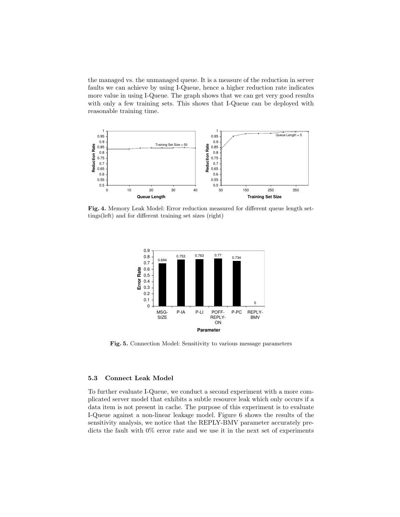the managed vs. the unmanaged queue. It is a measure of the reduction in server faults we can achieve by using I-Queue, hence a higher reduction rate indicates more value in using I-Queue. The graph shows that we can get very good results with only a few training sets. This shows that I-Queue can be deployed with reasonable training time.



Fig. 4. Memory Leak Model: Error reduction measured for different queue length settings(left) and for different training set sizes (right)



Fig. 5. Connection Model: Sensitivity to various message parameters

#### 5.3 Connect Leak Model

To further evaluate I-Queue, we conduct a second experiment with a more complicated server model that exhibits a subtle resource leak which only occurs if a data item is not present in cache. The purpose of this experiment is to evaluate I-Queue against a non-linear leakage model. Figure 6 shows the results of the sensitivity analysis, we notice that the REPLY-BMV parameter accurately predicts the fault with 0% error rate and we use it in the next set of experiments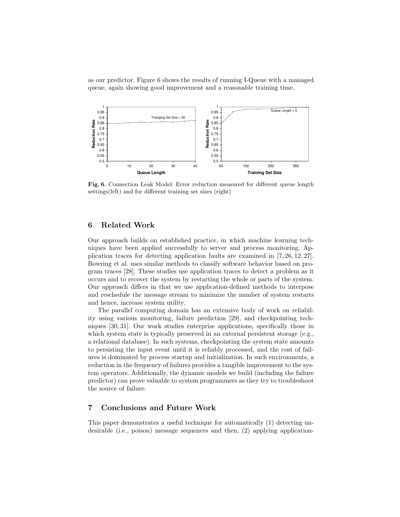as our predictor. Figure 6 shows the results of running I-Queue with a managed queue, again showing good improvement and a reasonable training time.



Fig. 6. Connection Leak Model: Error reduction measured for different queue length settings(left) and for different training set sizes (right)

### 6 Related Work

Our approach builds on established practice, in which machine learning techniques have been applied successfully to server and process monitoring. Application traces for detecting application faults are examined in [7, 26, 12, 27]. Bowring et al. uses similar methods to classify software behavior based on program traces [28]. These studies use application traces to detect a problem as it occurs and to recover the system by restarting the whole or parts of the system. Our approach differs in that we use application-defined methods to interpose and reschedule the message stream to minimize the number of system restarts and hence, increase system utility.

The parallel computing domain has an extensive body of work on reliability using various monitoring, failure prediction [29], and checkpointing techniques [30, 31]. Our work studies enterprise applications, specifically those in which system state is typically preserved in an external persistent storage (e.g., a relational database). In such systems, checkpointing the system state amounts to persisting the input event until it is reliably processed, and the cost of failures is dominated by process startup and initialization. In such environments, a reduction in the frequency of failures provides a tangible improvement to the system operators. Additionally, the dynamic models we build (including the failure predictor) can prove valuable to system programmers as they try to troubleshoot the source of failure.

## 7 Conclusions and Future Work

This paper demonstrates a useful technique for automatically (1) detecting undesirable (i.e., poison) message sequences and then, (2) applying application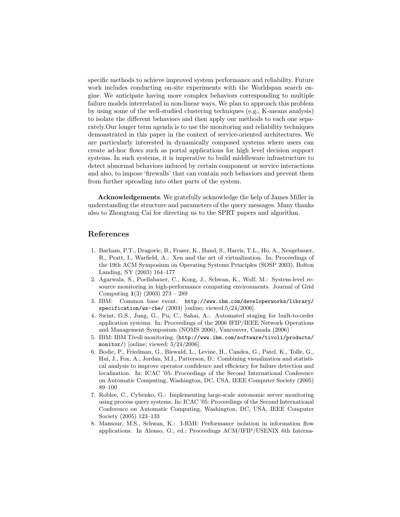specific methods to achieve improved system performance and reliability. Future work includes conducting on-site experiments with the Worldspan search engine. We anticipate having more complex behaviors corresponding to multiple failure models interrelated in non-linear ways. We plan to approach this problem by using some of the well-studied clustering techniques (e.g., K-means analysis) to isolate the different behaviors and then apply our methods to each one separately.Our longer term agenda is to use the monitoring and reliability techniques demonstrated in this paper in the context of service-oriented architectures. We are particularly interested in dynamically composed systems where users can create ad-hoc flows such as portal applications for high level decision support systems. In such systems, it is imperative to build middleware infrastructure to detect abnormal behaviors induced by certain component or service interactions and also, to impose 'firewalls' that can contain such behaviors and prevent them from further spreading into other parts of the system.

Acknowledgements. We gratefully acknowledge the help of James Miller in understanding the structure and parameters of the query messages. Many thanks also to Zhongtang Cai for directing us to the SPRT papers and algorithm.

## References

- 1. Barham, P.T., Dragovic, B., Fraser, K., Hand, S., Harris, T.L., Ho, A., Neugebauer, R., Pratt, I., Warfield, A.: Xen and the art of virtualization. In: Proceedings of the 19th ACM Symposium on Operating Systems Principles (SOSP 2003), Bolton Landing, NY (2003) 164–177
- 2. Agarwala, S., Poellabauer, C., Kong, J., Schwan, K., Wolf, M.: System-level resource monitoring in high-performance computing environments. Journal of Grid Computing 1(3) (2003) 273 – 289
- 3. IBM: Common base event. http://www.ibm.com/developerworks/library/ specification/ws-cbe/ (2003) [online; viewed:5/24/2006].
- 4. Swint, G.S., Jung, G., Pu, C., Sahai, A.: Automated staging for built-to-order application systems. In: Proceedings of the 2006 IFIP/IEEE Network Operations and Management Symposium (NOMS 2006), Vancouver, Canada (2006)
- 5. IBM: IBM Tivoli monitoring. (http://www.ibm.com/software/tivoli/products/ monitor/) [online; viewed:  $5/24/2006$ ].
- 6. Bodic, P., Friedman, G., Biewald, L., Levine, H., Candea, G., Patel, K., Tolle, G., Hui, J., Fox, A., Jordan, M.I., Patterson, D.: Combining visualization and statistical analysis to improve operator confidence and efficiency for failure detection and localization. In: ICAC '05: Proceedings of the Second International Conference on Automatic Computing, Washington, DC, USA, IEEE Computer Society (2005) 89–100
- 7. Roblee, C., Cybenko, G.: Implementing large-scale autonomic server monitoring using process query systems. In: ICAC '05: Proceedings of the Second International Conference on Automatic Computing, Washington, DC, USA, IEEE Computer Society (2005) 123–133
- 8. Mansour, M.S., Schwan, K.: I-RMI: Performance isolation in information flow applications. In Alonso, G., ed.: Proceedings ACM/IFIP/USENIX 6th Interna-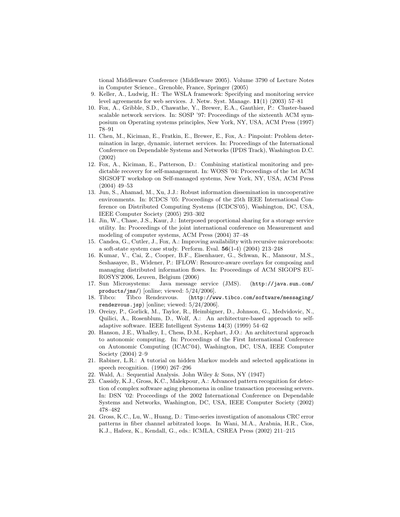tional Middleware Conference (Middleware 2005). Volume 3790 of Lecture Notes in Computer Science., Grenoble, France, Springer (2005)

- 9. Keller, A., Ludwig, H.: The WSLA framework: Specifying and monitoring service level agreements for web services. J. Netw. Syst. Manage. 11(1) (2003) 57–81
- 10. Fox, A., Gribble, S.D., Chawathe, Y., Brewer, E.A., Gauthier, P.: Cluster-based scalable network services. In: SOSP '97: Proceedings of the sixteenth ACM symposium on Operating systems principles, New York, NY, USA, ACM Press (1997) 78–91
- 11. Chen, M., Kiciman, E., Fratkin, E., Brewer, E., Fox, A.: Pinpoint: Problem determination in large, dynamic, internet services. In: Proceedings of the International Conference on Dependable Systems and Networks (IPDS Track), Washington D.C. (2002)
- 12. Fox, A., Kiciman, E., Patterson, D.: Combining statistical monitoring and predictable recovery for self-management. In: WOSS '04: Proceedings of the 1st ACM SIGSOFT workshop on Self-managed systems, New York, NY, USA, ACM Press (2004) 49–53
- 13. Jun, S., Ahamad, M., Xu, J.J.: Robust information dissemination in uncooperative environments. In: ICDCS '05: Proceedings of the 25th IEEE International Conference on Distributed Computing Systems (ICDCS'05), Washington, DC, USA, IEEE Computer Society (2005) 293–302
- 14. Jin, W., Chase, J.S., Kaur, J.: Interposed proportional sharing for a storage service utility. In: Proceedings of the joint international conference on Measurement and modeling of computer systems, ACM Press (2004) 37–48
- 15. Candea, G., Cutler, J., Fox, A.: Improving availability with recursive microreboots: a soft-state system case study. Perform. Eval. 56(1-4) (2004) 213–248
- 16. Kumar, V., Cai, Z., Cooper, B.F., Eisenhauer, G., Schwan, K., Mansour, M.S., Seshasayee, B., Widener, P.: IFLOW: Resource-aware overlays for composing and managing distributed information flows. In: Proceedings of ACM SIGOPS EU-ROSYS'2006, Leuven, Belgium (2006)
- 17. Sun Microsystems: Java message service (JMS). (http://java.sun.com/ products/jms/) [online; viewed: 5/24/2006].
- 18. Tibco: Tibco Rendezvous. (http://www.tibco.com/software/messaging/ rendezvous.jsp) [online; viewed: 5/24/2006].
- 19. Oreizy, P., Gorlick, M., Taylor, R., Heimbigner, D., Johnson, G., Medvidovic, N., Quilici, A., Rosenblum, D., Wolf, A.: An architecture-based approach to selfadaptive software. IEEE Intelligent Systems 14(3) (1999) 54–62
- 20. Hanson, J.E., Whalley, I., Chess, D.M., Kephart, J.O.: An architectural approach to autonomic computing. In: Proceedings of the First International Conference on Autonomic Computing (ICAC'04), Washington, DC, USA, IEEE Computer Society (2004) 2–9
- 21. Rabiner, L.R.: A tutorial on hidden Markov models and selected applications in speech recognition. (1990) 267–296
- 22. Wald, A.: Sequential Analysis. John Wiley & Sons, NY (1947)
- 23. Cassidy, K.J., Gross, K.C., Malekpour, A.: Advanced pattern recognition for detection of complex software aging phenomena in online transaction processing servers. In: DSN '02: Proceedings of the 2002 International Conference on Dependable Systems and Networks, Washington, DC, USA, IEEE Computer Society (2002) 478–482
- 24. Gross, K.C., Lu, W., Huang, D.: Time-series investigation of anomalous CRC error patterns in fiber channel arbitrated loops. In Wani, M.A., Arabnia, H.R., Cios, K.J., Hafeez, K., Kendall, G., eds.: ICMLA, CSREA Press (2002) 211–215